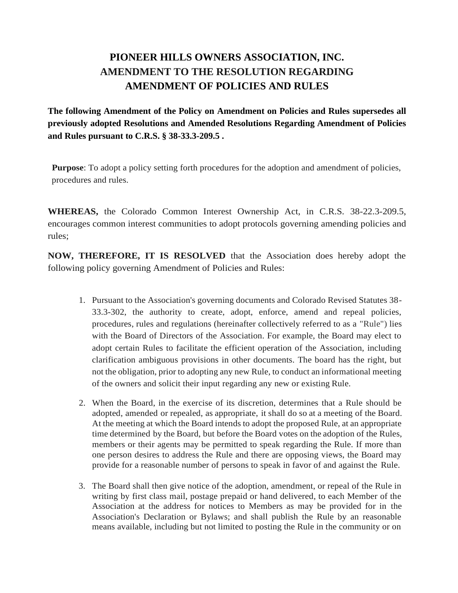## **PIONEER HILLS OWNERS ASSOCIATION, INC. AMENDMENT TO THE RESOLUTION REGARDING AMENDMENT OF POLICIES AND RULES**

**The following Amendment of the Policy on Amendment on Policies and Rules supersedes all previously adopted Resolutions and Amended Resolutions Regarding Amendment of Policies and Rules pursuant to C.R.S. § 38-33.3-209.5 .**

**Purpose**: To adopt a policy setting forth procedures for the adoption and amendment of policies, procedures and rules.

**WHEREAS,** the Colorado Common Interest Ownership Act, in C.R.S. 38-22.3-209.5, encourages common interest communities to adopt protocols governing amending policies and rules;

**NOW, THEREFORE, IT IS RESOLVED** that the Association does hereby adopt the following policy governing Amendment of Policies and Rules:

- 1. Pursuant to the Association's governing documents and Colorado Revised Statutes 38- 33.3-302, the authority to create, adopt, enforce, amend and repeal policies, procedures, rules and regulations (hereinafter collectively referred to as a "Rule") lies with the Board of Directors of the Association. For example, the Board may elect to adopt certain Rules to facilitate the efficient operation of the Association, including clarification ambiguous provisions in other documents. The board has the right, but not the obligation, prior to adopting any new Rule, to conduct an informational meeting of the owners and solicit their input regarding any new or existing Rule.
- 2. When the Board, in the exercise of its discretion, determines that a Rule should be adopted, amended or repealed, as appropriate, it shall do so at a meeting of the Board. At the meeting at which the Board intends to adopt the proposed Rule, at an appropriate time determined by the Board, but before the Board votes on the adoption of the Rules, members or their agents may be permitted to speak regarding the Rule. If more than one person desires to address the Rule and there are opposing views, the Board may provide for a reasonable number of persons to speak in favor of and against the Rule.
- 3. The Board shall then give notice of the adoption, amendment, or repeal of the Rule in writing by first class mail, postage prepaid or hand delivered, to each Member of the Association at the address for notices to Members as may be provided for in the Association's Declaration or Bylaws; and shall publish the Rule by an reasonable means available, including but not limited to posting the Rule in the community or on